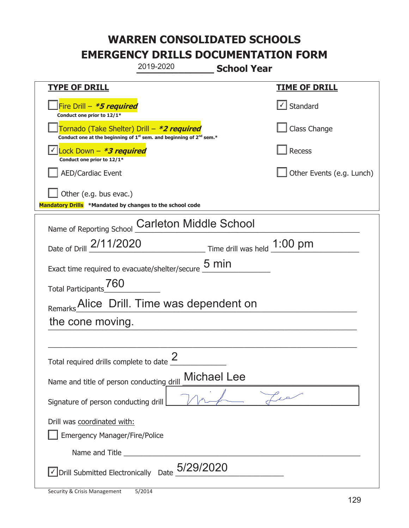|                                                                                    | 2019-2020                                                                                   | <b>School Year</b>                                                     |                               |
|------------------------------------------------------------------------------------|---------------------------------------------------------------------------------------------|------------------------------------------------------------------------|-------------------------------|
| <b>TYPE OF DRILL</b>                                                               |                                                                                             |                                                                        | <b>TIME OF DRILL</b>          |
| Fire Drill - *5 required<br>Conduct one prior to 12/1*                             |                                                                                             |                                                                        | $\boxed{\checkmark}$ Standard |
| Tornado (Take Shelter) Drill – *2 required                                         | Conduct one at the beginning of 1 <sup>st</sup> sem. and beginning of 2 <sup>nd</sup> sem.* |                                                                        | Class Change                  |
| Lock Down - <b>*3 required</b><br>Conduct one prior to 12/1*                       |                                                                                             |                                                                        | Recess                        |
| <b>AED/Cardiac Event</b>                                                           |                                                                                             |                                                                        | Other Events (e.g. Lunch)     |
| Other (e.g. bus evac.)<br>Mandatory Drills *Mandated by changes to the school code |                                                                                             |                                                                        |                               |
| Name of Reporting School                                                           | <b>Carleton Middle School</b>                                                               |                                                                        |                               |
| Date of Drill 2/11/2020                                                            |                                                                                             | $\frac{1:00}{\sqrt{2}}$ Time drill was held $\frac{1:00}{\sqrt{2}}$ pm |                               |
| Exact time required to evacuate/shelter/secure                                     |                                                                                             | 5 min                                                                  |                               |
| 760<br><b>Total Participants</b>                                                   |                                                                                             |                                                                        |                               |
| Remarks_Alice Drill. Time was dependent on                                         |                                                                                             |                                                                        |                               |
| the cone moving.                                                                   |                                                                                             |                                                                        |                               |
|                                                                                    |                                                                                             |                                                                        |                               |
| Total required drills complete to date $\leq$                                      | $\mathcal{P}$                                                                               |                                                                        |                               |
| <b>Michael Lee</b><br>Name and title of person conducting drill                    |                                                                                             |                                                                        |                               |
| Signature of person conducting drill                                               |                                                                                             |                                                                        |                               |
| Drill was coordinated with:<br><b>Emergency Manager/Fire/Police</b>                |                                                                                             |                                                                        |                               |
|                                                                                    |                                                                                             |                                                                        |                               |
| $\vee$ Drill Submitted Electronically Date $_0$ 5/29/2020                          |                                                                                             |                                                                        |                               |

ı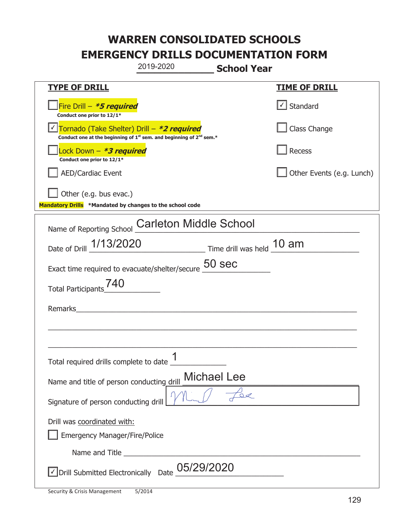|                                                                                    | 2019-2020                                                                                   | <b>School Year</b> |                                   |
|------------------------------------------------------------------------------------|---------------------------------------------------------------------------------------------|--------------------|-----------------------------------|
| <u>TYPE OF DRILL</u>                                                               |                                                                                             |                    | <b>TIME OF DRILL</b>              |
| Fire Drill - *5 required<br>Conduct one prior to 12/1*                             |                                                                                             |                    | $\lfloor \angle \rfloor$ Standard |
| Tornado (Take Shelter) Drill – *2 required                                         | Conduct one at the beginning of 1 <sup>st</sup> sem. and beginning of 2 <sup>nd</sup> sem.* |                    | Class Change                      |
| Lock Down - *3 required<br>Conduct one prior to 12/1*                              |                                                                                             |                    | Recess                            |
| <b>AED/Cardiac Event</b>                                                           |                                                                                             |                    | Other Events (e.g. Lunch)         |
| Other (e.g. bus evac.)<br>Mandatory Drills *Mandated by changes to the school code |                                                                                             |                    |                                   |
| Name of Reporting School                                                           | <b>Carleton Middle School</b>                                                               |                    |                                   |
|                                                                                    | Date of Drill 1/13/2020 Time drill was held 10 am                                           |                    |                                   |
| Exact time required to evacuate/shelter/secure $\frac{50}{2}$ Sec                  |                                                                                             |                    |                                   |
| <b>Total Participants</b>                                                          |                                                                                             |                    |                                   |
| Remarks                                                                            |                                                                                             |                    |                                   |
|                                                                                    |                                                                                             |                    |                                   |
| Total required drills complete to date _test                                       | 1                                                                                           |                    |                                   |
| Name and title of person conducting drill                                          | Michael Lee                                                                                 |                    |                                   |
| Signature of person conducting drill                                               |                                                                                             |                    |                                   |
| Drill was coordinated with:<br><b>Emergency Manager/Fire/Police</b>                |                                                                                             |                    |                                   |
|                                                                                    |                                                                                             |                    |                                   |
|                                                                                    | $\sqrt{\phantom{a}}$ Drill Submitted Electronically Date $\_$ 05/29/2020                    |                    |                                   |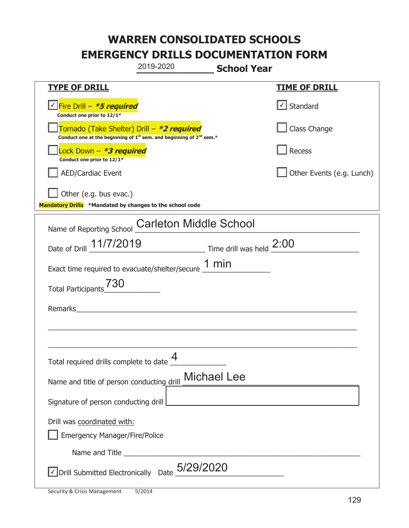|                                                                                    | 2019-2020                                                                                   | <b>School Year</b>                                |                                   |
|------------------------------------------------------------------------------------|---------------------------------------------------------------------------------------------|---------------------------------------------------|-----------------------------------|
| <u>TYPE OF DRILL</u>                                                               |                                                                                             |                                                   | <b>TIME OF DRILL</b>              |
| Fire Drill - *5 required<br>Conduct one prior to 12/1*                             |                                                                                             |                                                   | $\lfloor \angle \rfloor$ Standard |
| Tornado (Take Shelter) Drill – *2 required                                         | Conduct one at the beginning of 1 <sup>st</sup> sem. and beginning of 2 <sup>nd</sup> sem.* |                                                   | Class Change                      |
| Lock Down - *3 required<br>Conduct one prior to 12/1*                              |                                                                                             |                                                   | Recess                            |
| <b>AED/Cardiac Event</b>                                                           |                                                                                             |                                                   | Other Events (e.g. Lunch)         |
| Other (e.g. bus evac.)<br>Mandatory Drills *Mandated by changes to the school code |                                                                                             |                                                   |                                   |
| Name of Reporting School                                                           | <b>Carleton Middle School</b>                                                               |                                                   |                                   |
| Date of Drill 11/7/2019 Time drill was held 2:00                                   |                                                                                             |                                                   |                                   |
| Exact time required to evacuate/shelter/secure $1 \text{ min}$                     |                                                                                             |                                                   |                                   |
| <b>Total Participants</b>                                                          |                                                                                             |                                                   |                                   |
| Remarks                                                                            |                                                                                             |                                                   |                                   |
|                                                                                    |                                                                                             |                                                   |                                   |
| Total required drills complete to date $\Box$                                      | 4                                                                                           |                                                   |                                   |
| Name and title of person conducting drill                                          |                                                                                             | <b>Michael Lee</b>                                |                                   |
| Signature of person conducting drill                                               |                                                                                             | <u> 1989 - Johann Barbara, martxa alemaniar a</u> |                                   |
| Drill was coordinated with:<br><b>Emergency Manager/Fire/Police</b>                |                                                                                             |                                                   |                                   |
|                                                                                    | Name and Title <b>contained</b> Title <b>Contained Act and Title</b>                        |                                                   |                                   |
| $\overline{\phantom{a}}$ Drill Submitted Electronically Date $_0$ 5/29/2020        |                                                                                             |                                                   |                                   |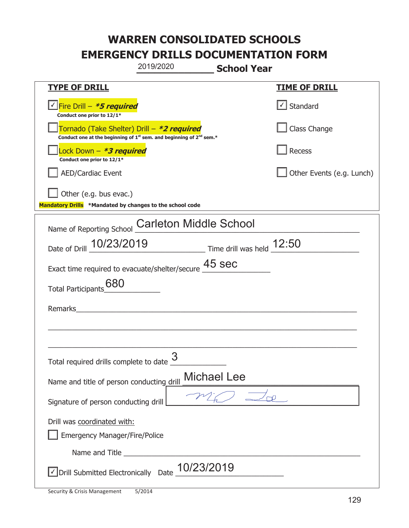|                                                                                    | 2019/2020                                                                                   | <b>School Year</b> |                                   |
|------------------------------------------------------------------------------------|---------------------------------------------------------------------------------------------|--------------------|-----------------------------------|
| <b>TYPE OF DRILL</b>                                                               |                                                                                             |                    | <b>TIME OF DRILL</b>              |
| Fire Drill - *5 required<br>Conduct one prior to 12/1*                             |                                                                                             |                    | $\lfloor \angle \rfloor$ Standard |
| Tornado (Take Shelter) Drill – *2 required                                         | Conduct one at the beginning of 1 <sup>st</sup> sem. and beginning of 2 <sup>nd</sup> sem.* |                    | Class Change                      |
| Lock Down - *3 required<br>Conduct one prior to 12/1*                              |                                                                                             |                    | Recess                            |
| <b>AED/Cardiac Event</b>                                                           |                                                                                             |                    | Other Events (e.g. Lunch)         |
| Other (e.g. bus evac.)<br>Mandatory Drills *Mandated by changes to the school code |                                                                                             |                    |                                   |
| Name of Reporting School                                                           | <b>Carleton Middle School</b>                                                               |                    |                                   |
| Date of Drill 10/23/2019 Time drill was held 12:50                                 |                                                                                             |                    |                                   |
| Exact time required to evacuate/shelter/secure $\frac{45}{1}$ SeC                  |                                                                                             |                    |                                   |
| 680<br><b>Total Participants</b>                                                   |                                                                                             |                    |                                   |
| Remarks                                                                            |                                                                                             |                    |                                   |
|                                                                                    |                                                                                             |                    |                                   |
| Total required drills complete to date U                                           | 3                                                                                           |                    |                                   |
| Name and title of person conducting drill                                          |                                                                                             | <b>Michael Lee</b> |                                   |
| Signature of person conducting drill                                               |                                                                                             |                    |                                   |
| Drill was coordinated with:<br><b>Emergency Manager/Fire/Police</b>                |                                                                                             |                    |                                   |
|                                                                                    |                                                                                             |                    |                                   |
| $\sqrt{}$ Drill Submitted Electronically Date $\underline{10/23/2019}$             |                                                                                             |                    |                                   |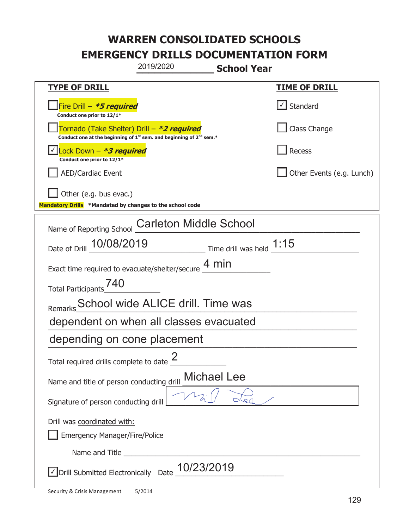|                                                                                    | 2019/2020                                                                                   | <b>School Year</b>                 |
|------------------------------------------------------------------------------------|---------------------------------------------------------------------------------------------|------------------------------------|
| <b>TYPE OF DRILL</b>                                                               |                                                                                             | <b>TIME OF DRILL</b>               |
| Fire Drill - *5 required<br>Conduct one prior to 12/1*                             |                                                                                             | $\lfloor \angle \rfloor$ Standard  |
| Tornado (Take Shelter) Drill – *2 required                                         | Conduct one at the beginning of 1 <sup>st</sup> sem. and beginning of 2 <sup>nd</sup> sem.* | Class Change                       |
| Lock Down - <b>*3 required</b><br>Conduct one prior to 12/1*                       |                                                                                             | Recess                             |
| <b>AED/Cardiac Event</b>                                                           |                                                                                             | Other Events (e.g. Lunch)          |
| Other (e.g. bus evac.)<br>Mandatory Drills *Mandated by changes to the school code |                                                                                             |                                    |
| Name of Reporting School                                                           | <b>Carleton Middle School</b>                                                               |                                    |
| Date of Drill 10/08/2019                                                           |                                                                                             | $\_$ Time drill was held $\_$ 1:15 |
|                                                                                    | Exact time required to evacuate/shelter/secure $\frac{4 \text{ min}}{4}$                    |                                    |
| Total Participants <sup>740</sup>                                                  |                                                                                             |                                    |
|                                                                                    | Remarks School wide ALICE drill. Time was                                                   |                                    |
|                                                                                    | dependent on when all classes evacuated                                                     |                                    |
| depending on cone placement                                                        |                                                                                             |                                    |
| Total required drills complete to date $\leq$                                      |                                                                                             |                                    |
| <b>Michael Lee</b><br>Name and title of person conducting drill                    |                                                                                             |                                    |
| Signature of person conducting drill                                               |                                                                                             |                                    |
| Drill was coordinated with:<br><b>Emergency Manager/Fire/Police</b>                |                                                                                             |                                    |
|                                                                                    |                                                                                             |                                    |
| √ Drill Submitted Electronically Date                                              | 10/23/2019                                                                                  |                                    |